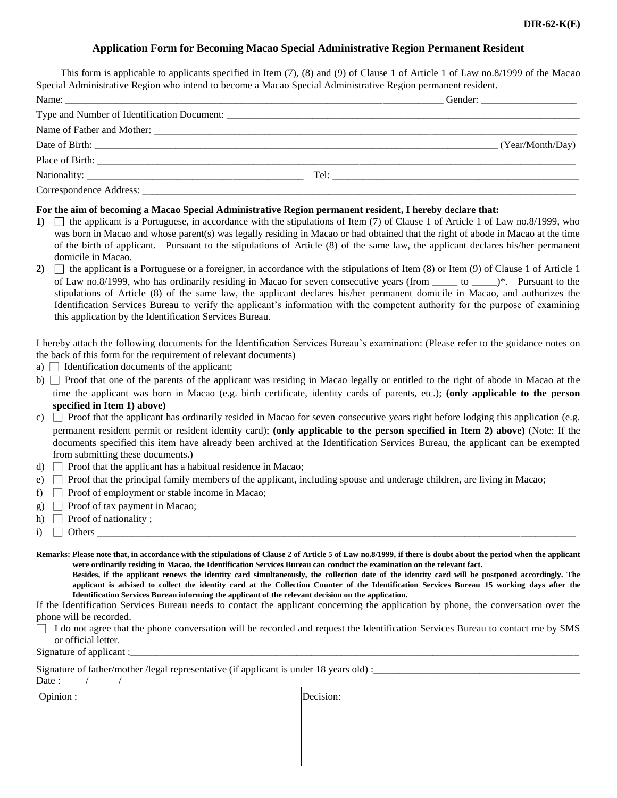# **Application Form for Becoming Macao Special Administrative Region Permanent Resident**

This form is applicable to applicants specified in Item (7), (8) and (9) of Clause 1 of Article 1 of Law no.8/1999 of the Macao Special Administrative Region who intend to become a Macao Special Administrative Region permanent resident.

|  | (Year/Month/Day) |
|--|------------------|
|  |                  |
|  |                  |
|  |                  |

## **For the aim of becoming a Macao Special Administrative Region permanent resident, I hereby declare that:**

- **1)**  $\Box$  the applicant is a Portuguese, in accordance with the stipulations of Item (7) of Clause 1 of Article 1 of Law no.8/1999, who was born in Macao and whose parent(s) was legally residing in Macao or had obtained that the right of abode in Macao at the time of the birth of applicant. Pursuant to the stipulations of Article (8) of the same law, the applicant declares his/her permanent domicile in Macao.
- 2)  $\Box$  the applicant is a Portuguese or a foreigner, in accordance with the stipulations of Item (8) or Item (9) of Clause 1 of Article 1 of Law no.8/1999, who has ordinarily residing in Macao for seven consecutive years (from \_\_\_\_\_ to \_\_\_\_\_)\*. Pursuant to the stipulations of Article (8) of the same law, the applicant declares his/her permanent domicile in Macao, and authorizes the Identification Services Bureau to verify the applicant's information with the competent authority for the purpose of examining this application by the Identification Services Bureau.

I hereby attach the following documents for the Identification Services Bureau's examination: (Please refer to the guidance notes on the back of this form for the requirement of relevant documents)

- a)  $\Box$  Identification documents of the applicant;
- b)  $\Box$  Proof that one of the parents of the applicant was residing in Macao legally or entitled to the right of abode in Macao at the time the applicant was born in Macao (e.g. birth certificate, identity cards of parents, etc.); **(only applicable to the person specified in Item 1) above)**
- c)  $\Box$  Proof that the applicant has ordinarily resided in Macao for seven consecutive years right before lodging this application (e.g. permanent resident permit or resident identity card); **(only applicable to the person specified in Item 2) above)** (Note: If the documents specified this item have already been archived at the Identification Services Bureau, the applicant can be exempted from submitting these documents.)
- d)  $\Box$  Proof that the applicant has a habitual residence in Macao;
- e) □ Proof that the principal family members of the applicant, including spouse and underage children, are living in Macao;
- f)  $\Box$  Proof of employment or stable income in Macao;
- g)  $\Box$  Proof of tax payment in Macao;
- h)  $\Box$  Proof of nationality ;
- i) □ Others \_\_\_\_\_\_\_\_\_\_\_\_\_\_\_\_\_\_\_\_\_\_\_\_\_\_\_\_\_\_\_\_\_\_\_\_\_\_\_\_\_\_\_\_\_\_\_\_\_\_\_\_\_\_\_\_\_\_\_\_\_\_\_\_\_\_\_\_\_\_\_\_\_\_\_\_\_\_\_\_\_\_\_\_\_\_\_\_\_\_\_\_\_\_\_
- Remarks: Please note that, in accordance with the stipulations of Clause 2 of Article 5 of Law no.8/1999, if there is doubt about the period when the applicant **were ordinarily residing in Macao, the Identification Services Bureau can conduct the examination on the relevant fact.**

**Besides, if the applicant renews the identity card simultaneously, the collection date of the identity card will be postponed accordingly. The applicant is advised to collect the identity card at the Collection Counter of the Identification Services Bureau 15 working days after the Identification Services Bureau informing the applicant of the relevant decision on the application.**

If the Identification Services Bureau needs to contact the applicant concerning the application by phone, the conversation over the phone will be recorded.

I do not agree that the phone conversation will be recorded and request the Identification Services Bureau to contact me by SMS or official letter.

Signature of applicant :

Signature of father/mother /legal representative (if applicant is under 18 years old) :\_\_\_\_\_\_\_\_\_\_\_\_\_\_\_\_\_\_\_\_\_\_\_\_\_\_\_\_\_\_\_\_\_\_\_\_\_\_\_\_\_

Date :

Opinion : Decision: